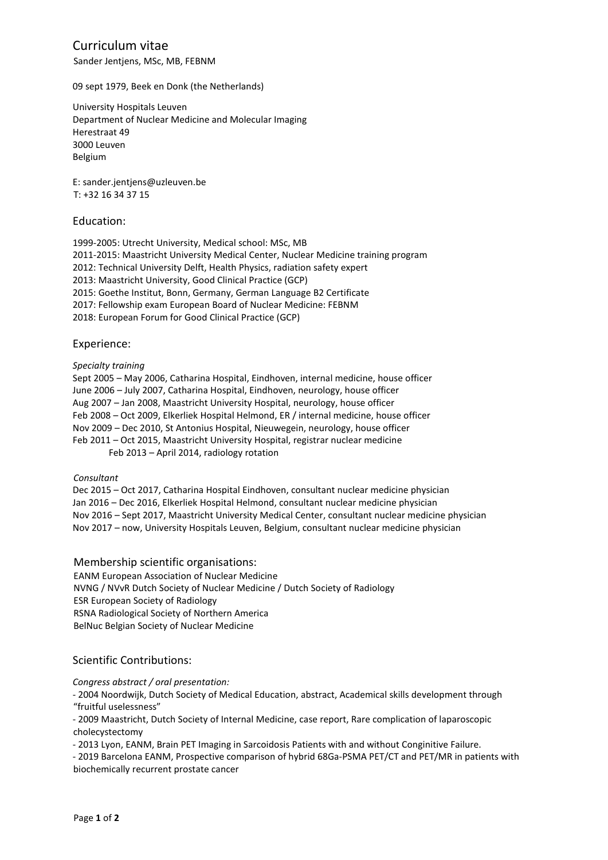## Curriculum vitae

Sander Jentjens, MSc, MB, FEBNM

09 sept 1979, Beek en Donk (the Netherlands)

University Hospitals Leuven Department of Nuclear Medicine and Molecular Imaging Herestraat 49 3000 Leuven Belgium

E: sander.jentjens@uzleuven.be T: +32 16 34 37 15

### Education:

1999-2005: Utrecht University, Medical school: MSc, MB 2011-2015: Maastricht University Medical Center, Nuclear Medicine training program 2012: Technical University Delft, Health Physics, radiation safety expert 2013: Maastricht University, Good Clinical Practice (GCP) 2015: Goethe Institut, Bonn, Germany, German Language B2 Certificate 2017: Fellowship exam European Board of Nuclear Medicine: FEBNM 2018: European Forum for Good Clinical Practice (GCP)

### Experience:

*Specialty training*

Sept 2005 – May 2006, Catharina Hospital, Eindhoven, internal medicine, house officer June 2006 – July 2007, Catharina Hospital, Eindhoven, neurology, house officer Aug 2007 – Jan 2008, Maastricht University Hospital, neurology, house officer Feb 2008 – Oct 2009, Elkerliek Hospital Helmond, ER / internal medicine, house officer Nov 2009 – Dec 2010, St Antonius Hospital, Nieuwegein, neurology, house officer Feb 2011 – Oct 2015, Maastricht University Hospital, registrar nuclear medicine Feb 2013 – April 2014, radiology rotation

*Consultant*

Dec 2015 – Oct 2017, Catharina Hospital Eindhoven, consultant nuclear medicine physician Jan 2016 – Dec 2016, Elkerliek Hospital Helmond, consultant nuclear medicine physician Nov 2016 – Sept 2017, Maastricht University Medical Center, consultant nuclear medicine physician Nov 2017 – now, University Hospitals Leuven, Belgium, consultant nuclear medicine physician

Membership scientific organisations: EANM European Association of Nuclear Medicine NVNG / NVvR Dutch Society of Nuclear Medicine / Dutch Society of Radiology ESR European Society of Radiology RSNA Radiological Society of Northern America BelNuc Belgian Society of Nuclear Medicine

## Scientific Contributions:

*Congress abstract / oral presentation:*

- 2004 Noordwijk, Dutch Society of Medical Education, abstract, Academical skills development through "fruitful uselessness"

- 2009 Maastricht, Dutch Society of Internal Medicine, case report, Rare complication of laparoscopic cholecystectomy

- 2013 Lyon, EANM, Brain PET Imaging in Sarcoidosis Patients with and without Conginitive Failure.

- 2019 Barcelona EANM, Prospective comparison of hybrid 68Ga-PSMA PET/CT and PET/MR in patients with biochemically recurrent prostate cancer